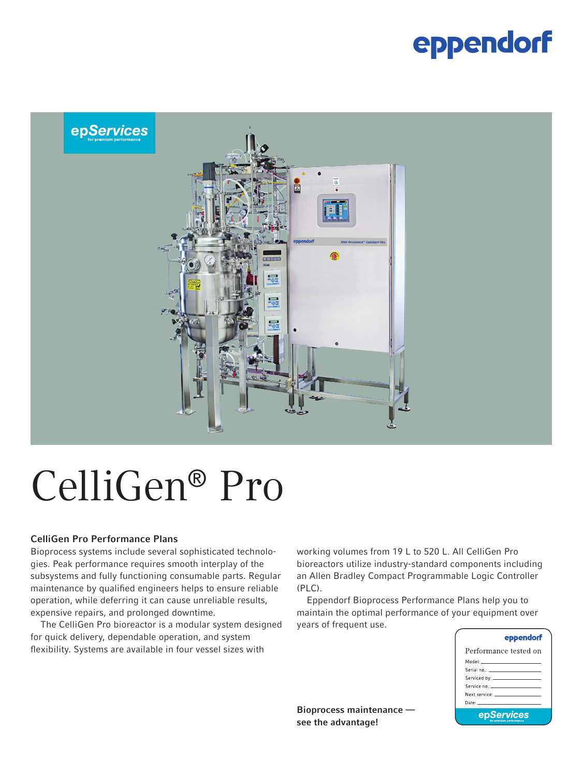### eppendorf



# CelliGen® Pro

### CelliGen Pro Performance Plans

Bioprocess systems include several sophisticated technologies. Peak performance requires smooth interplay of the subsystems and fully functioning consumable parts. Regular maintenance by qualified engineers helps to ensure reliable operation, while deferring it can cause unreliable results, expensive repairs, and prolonged downtime.

The CelliGen Pro bioreactor is a modular system designed for quick delivery, dependable operation, and system flexibility. Systems are available in four vessel sizes with

working volumes from 19 L to 520 L. All CelliGen Pro bioreactors utilize industry-standard components including an Allen Bradley Compact Programmable Logic Controller (PLC).

Eppendorf Bioprocess Performance Plans help you to maintain the optimal performance of your equipment over years of frequent use.

| eppendorf                                                                                                                                                                                                                     |  |  |  |  |
|-------------------------------------------------------------------------------------------------------------------------------------------------------------------------------------------------------------------------------|--|--|--|--|
| Performance tested on                                                                                                                                                                                                         |  |  |  |  |
| Model: _____________________                                                                                                                                                                                                  |  |  |  |  |
|                                                                                                                                                                                                                               |  |  |  |  |
|                                                                                                                                                                                                                               |  |  |  |  |
| Service no.: ______________________                                                                                                                                                                                           |  |  |  |  |
| Next service: The contract of the contract of the contract of the contract of the contract of the contract of the contract of the contract of the contract of the contract of the contract of the contract of the contract of |  |  |  |  |
| Date: University of the University of the University of the University of the University of the University of                                                                                                                 |  |  |  |  |
| epServices<br>face manager on moderno constru                                                                                                                                                                                 |  |  |  |  |

Bioprocess maintenance see the advantage!